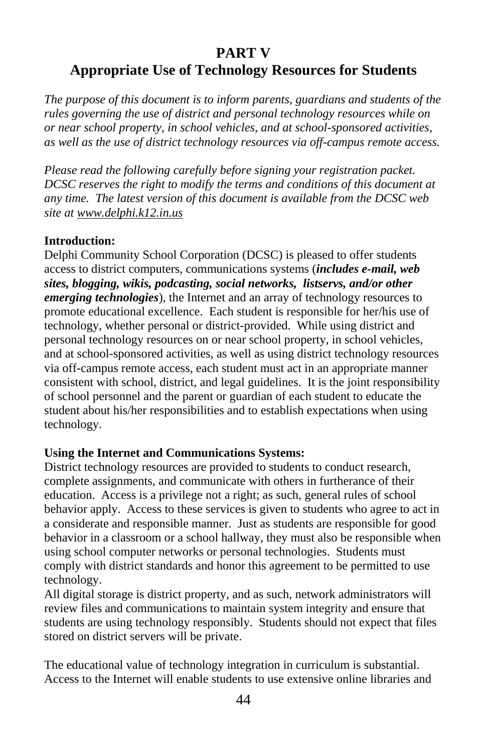# **PART V Appropriate Use of Technology Resources for Students**

*The purpose of this document is to inform parents, guardians and students of the rules governing the use of district and personal technology resources while on or near school property, in school vehicles, and at school-sponsored activities, as well as the use of district technology resources via off-campus remote access.*

*Please read the following carefully before signing your registration packet. DCSC reserves the right to modify the terms and conditions of this document at any time. The latest version of this document is available from the DCSC web site a[t www.delphi.k12.in.us](http://www.delphi.k12.in.us/)*

#### **Introduction:**

Delphi Community School Corporation (DCSC) is pleased to offer students access to district computers, communications systems (*includes e-mail, web sites, blogging, wikis, podcasting, social networks, listservs, and/or other emerging technologies*), the Internet and an array of technology resources to promote educational excellence. Each student is responsible for her/his use of technology, whether personal or district-provided. While using district and personal technology resources on or near school property, in school vehicles, and at school-sponsored activities, as well as using district technology resources via off-campus remote access, each student must act in an appropriate manner consistent with school, district, and legal guidelines. It is the joint responsibility of school personnel and the parent or guardian of each student to educate the student about his/her responsibilities and to establish expectations when using technology.

#### **Using the Internet and Communications Systems:**

District technology resources are provided to students to conduct research, complete assignments, and communicate with others in furtherance of their education. Access is a privilege not a right; as such, general rules of school behavior apply. Access to these services is given to students who agree to act in a considerate and responsible manner. Just as students are responsible for good behavior in a classroom or a school hallway, they must also be responsible when using school computer networks or personal technologies. Students must comply with district standards and honor this agreement to be permitted to use technology.

All digital storage is district property, and as such, network administrators will review files and communications to maintain system integrity and ensure that students are using technology responsibly. Students should not expect that files stored on district servers will be private.

The educational value of technology integration in curriculum is substantial. Access to the Internet will enable students to use extensive online libraries and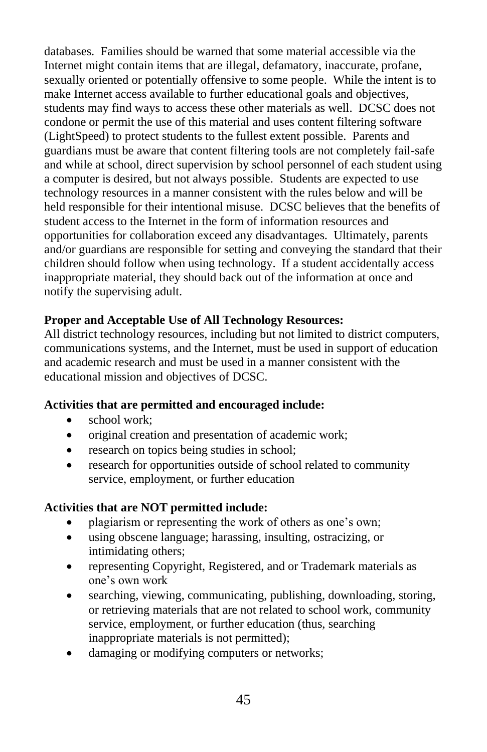databases. Families should be warned that some material accessible via the Internet might contain items that are illegal, defamatory, inaccurate, profane, sexually oriented or potentially offensive to some people. While the intent is to make Internet access available to further educational goals and objectives, students may find ways to access these other materials as well. DCSC does not condone or permit the use of this material and uses content filtering software (LightSpeed) to protect students to the fullest extent possible. Parents and guardians must be aware that content filtering tools are not completely fail-safe and while at school, direct supervision by school personnel of each student using a computer is desired, but not always possible. Students are expected to use technology resources in a manner consistent with the rules below and will be held responsible for their intentional misuse. DCSC believes that the benefits of student access to the Internet in the form of information resources and opportunities for collaboration exceed any disadvantages. Ultimately, parents and/or guardians are responsible for setting and conveying the standard that their children should follow when using technology. If a student accidentally access inappropriate material, they should back out of the information at once and notify the supervising adult.

### **Proper and Acceptable Use of All Technology Resources:**

All district technology resources, including but not limited to district computers, communications systems, and the Internet, must be used in support of education and academic research and must be used in a manner consistent with the educational mission and objectives of DCSC.

### **Activities that are permitted and encouraged include:**

- school work:
- original creation and presentation of academic work;
- research on topics being studies in school;
- research for opportunities outside of school related to community service, employment, or further education

### **Activities that are NOT permitted include:**

- plagiarism or representing the work of others as one's own;
- using obscene language; harassing, insulting, ostracizing, or intimidating others;
- representing Copyright, Registered, and or Trademark materials as one's own work
- searching, viewing, communicating, publishing, downloading, storing, or retrieving materials that are not related to school work, community service, employment, or further education (thus, searching inappropriate materials is not permitted);
- damaging or modifying computers or networks;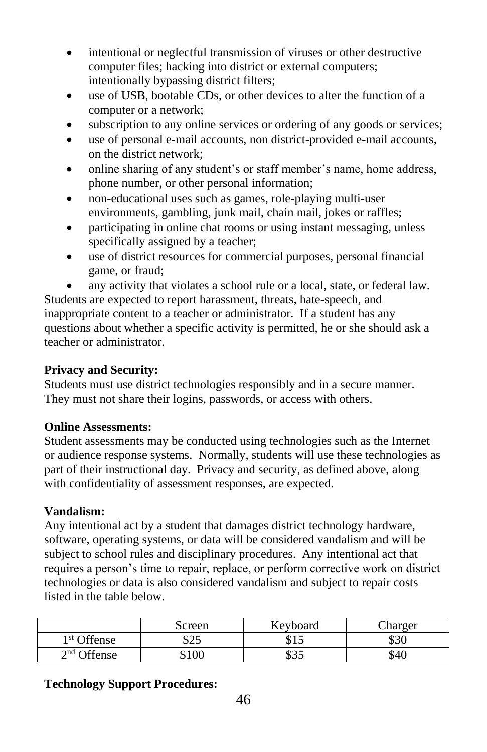- intentional or neglectful transmission of viruses or other destructive computer files; hacking into district or external computers; intentionally bypassing district filters;
- use of USB, bootable CDs, or other devices to alter the function of a computer or a network;
- subscription to any online services or ordering of any goods or services;
- use of personal e-mail accounts, non district-provided e-mail accounts, on the district network;
- online sharing of any student's or staff member's name, home address, phone number, or other personal information;
- non-educational uses such as games, role-playing multi-user environments, gambling, junk mail, chain mail, jokes or raffles;
- participating in online chat rooms or using instant messaging, unless specifically assigned by a teacher;
- use of district resources for commercial purposes, personal financial game, or fraud;
- any activity that violates a school rule or a local, state, or federal law.

Students are expected to report harassment, threats, hate-speech, and inappropriate content to a teacher or administrator. If a student has any questions about whether a specific activity is permitted, he or she should ask a teacher or administrator.

## **Privacy and Security:**

Students must use district technologies responsibly and in a secure manner. They must not share their logins, passwords, or access with others.

## **Online Assessments:**

Student assessments may be conducted using technologies such as the Internet or audience response systems. Normally, students will use these technologies as part of their instructional day. Privacy and security, as defined above, along with confidentiality of assessment responses, are expected.

# **Vandalism:**

Any intentional act by a student that damages district technology hardware, software, operating systems, or data will be considered vandalism and will be subject to school rules and disciplinary procedures. Any intentional act that requires a person's time to repair, replace, or perform corrective work on district technologies or data is also considered vandalism and subject to repair costs listed in the table below.

|                                | Screen      | Kevboard   | harger |
|--------------------------------|-------------|------------|--------|
| 1 <sup>st</sup> Offense        | ሶጎሩ<br>ل⊾∠ك | ل 1 ف      | \$30   |
| $\overline{\text{of}}$ Offense | \$100       | ـ مص<br>കാ | S4C    |

# **Technology Support Procedures:**